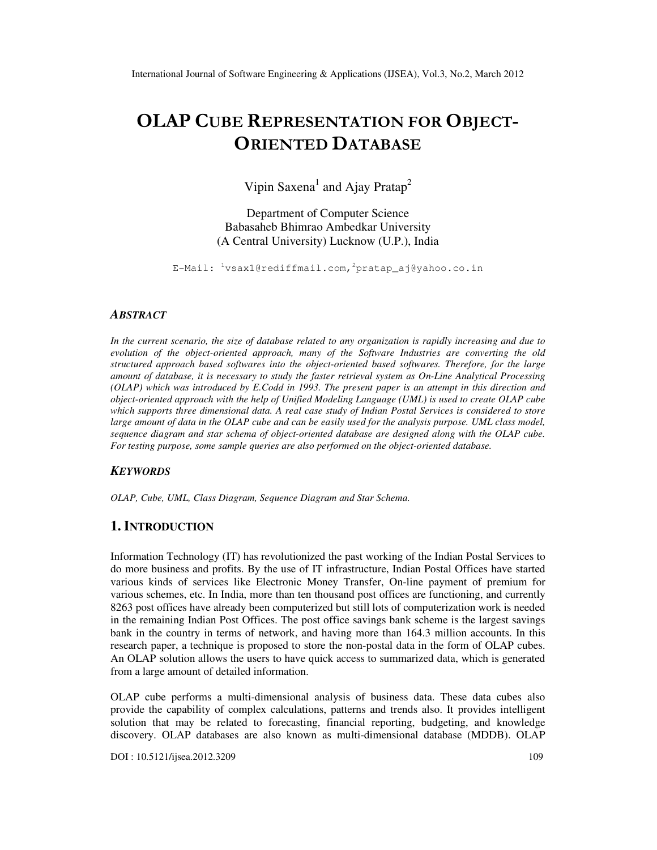# OLAP CUBE REPRESENTATION FOR OBJECT-ORIENTED DATABASE

Vipin Saxena<sup>1</sup> and Ajay Pratap<sup>2</sup>

Department of Computer Science Babasaheb Bhimrao Ambedkar University (A Central University) Lucknow (U.P.), India

E-Mail:  $\frac{1}{x}$ vsax1@rediffmail.com,  $\frac{2}{x}$ pratap\_aj@yahoo.co.in

#### *ABSTRACT*

*In the current scenario, the size of database related to any organization is rapidly increasing and due to evolution of the object-oriented approach, many of the Software Industries are converting the old structured approach based softwares into the object-oriented based softwares. Therefore, for the large amount of database, it is necessary to study the faster retrieval system as On-Line Analytical Processing (OLAP) which was introduced by E.Codd in 1993. The present paper is an attempt in this direction and object-oriented approach with the help of Unified Modeling Language (UML) is used to create OLAP cube which supports three dimensional data. A real case study of Indian Postal Services is considered to store large amount of data in the OLAP cube and can be easily used for the analysis purpose. UML class model, sequence diagram and star schema of object-oriented database are designed along with the OLAP cube. For testing purpose, some sample queries are also performed on the object-oriented database.* 

### *KEYWORDS*

*OLAP, Cube, UML, Class Diagram, Sequence Diagram and Star Schema.* 

## **1. INTRODUCTION**

Information Technology (IT) has revolutionized the past working of the Indian Postal Services to do more business and profits. By the use of IT infrastructure, Indian Postal Offices have started various kinds of services like Electronic Money Transfer, On-line payment of premium for various schemes, etc. In India, more than ten thousand post offices are functioning, and currently 8263 post offices have already been computerized but still lots of computerization work is needed in the remaining Indian Post Offices. The post office savings bank scheme is the largest savings bank in the country in terms of network, and having more than 164.3 million accounts. In this research paper, a technique is proposed to store the non-postal data in the form of OLAP cubes. An OLAP solution allows the users to have quick access to summarized data, which is generated from a large amount of detailed information.

OLAP cube performs a multi-dimensional analysis of business data. These data cubes also provide the capability of complex calculations, patterns and trends also. It provides intelligent solution that may be related to forecasting, financial reporting, budgeting, and knowledge discovery. OLAP databases are also known as multi-dimensional database (MDDB). OLAP

DOI : 10.5121/ijsea.2012.3209 109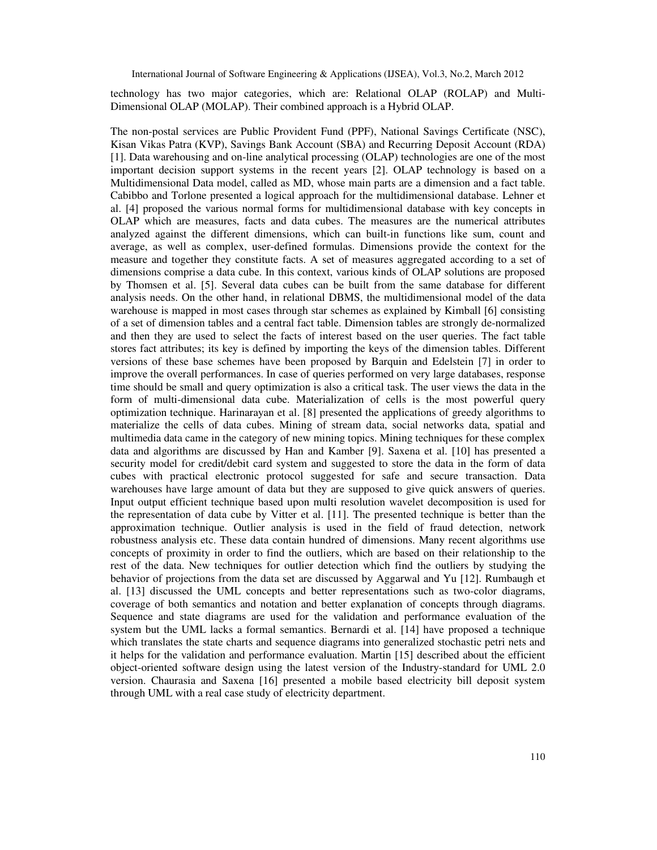technology has two major categories, which are: Relational OLAP (ROLAP) and Multi-Dimensional OLAP (MOLAP). Their combined approach is a Hybrid OLAP.

The non-postal services are Public Provident Fund (PPF), National Savings Certificate (NSC), Kisan Vikas Patra (KVP), Savings Bank Account (SBA) and Recurring Deposit Account (RDA) [1]. Data warehousing and on-line analytical processing (OLAP) technologies are one of the most important decision support systems in the recent years [2]. OLAP technology is based on a Multidimensional Data model, called as MD, whose main parts are a dimension and a fact table. Cabibbo and Torlone presented a logical approach for the multidimensional database. Lehner et al. [4] proposed the various normal forms for multidimensional database with key concepts in OLAP which are measures, facts and data cubes. The measures are the numerical attributes analyzed against the different dimensions, which can built-in functions like sum, count and average, as well as complex, user-defined formulas. Dimensions provide the context for the measure and together they constitute facts. A set of measures aggregated according to a set of dimensions comprise a data cube. In this context, various kinds of OLAP solutions are proposed by Thomsen et al. [5]. Several data cubes can be built from the same database for different analysis needs. On the other hand, in relational DBMS, the multidimensional model of the data warehouse is mapped in most cases through star schemes as explained by Kimball [6] consisting of a set of dimension tables and a central fact table. Dimension tables are strongly de-normalized and then they are used to select the facts of interest based on the user queries. The fact table stores fact attributes; its key is defined by importing the keys of the dimension tables. Different versions of these base schemes have been proposed by Barquin and Edelstein [7] in order to improve the overall performances. In case of queries performed on very large databases, response time should be small and query optimization is also a critical task. The user views the data in the form of multi-dimensional data cube. Materialization of cells is the most powerful query optimization technique. Harinarayan et al. [8] presented the applications of greedy algorithms to materialize the cells of data cubes. Mining of stream data, social networks data, spatial and multimedia data came in the category of new mining topics. Mining techniques for these complex data and algorithms are discussed by Han and Kamber [9]. Saxena et al. [10] has presented a security model for credit/debit card system and suggested to store the data in the form of data cubes with practical electronic protocol suggested for safe and secure transaction. Data warehouses have large amount of data but they are supposed to give quick answers of queries. Input output efficient technique based upon multi resolution wavelet decomposition is used for the representation of data cube by Vitter et al. [11]. The presented technique is better than the approximation technique. Outlier analysis is used in the field of fraud detection, network robustness analysis etc. These data contain hundred of dimensions. Many recent algorithms use concepts of proximity in order to find the outliers, which are based on their relationship to the rest of the data. New techniques for outlier detection which find the outliers by studying the behavior of projections from the data set are discussed by Aggarwal and Yu [12]. Rumbaugh et al. [13] discussed the UML concepts and better representations such as two-color diagrams, coverage of both semantics and notation and better explanation of concepts through diagrams. Sequence and state diagrams are used for the validation and performance evaluation of the system but the UML lacks a formal semantics. Bernardi et al. [14] have proposed a technique which translates the state charts and sequence diagrams into generalized stochastic petri nets and it helps for the validation and performance evaluation. Martin [15] described about the efficient object-oriented software design using the latest version of the Industry-standard for UML 2.0 version. Chaurasia and Saxena [16] presented a mobile based electricity bill deposit system through UML with a real case study of electricity department.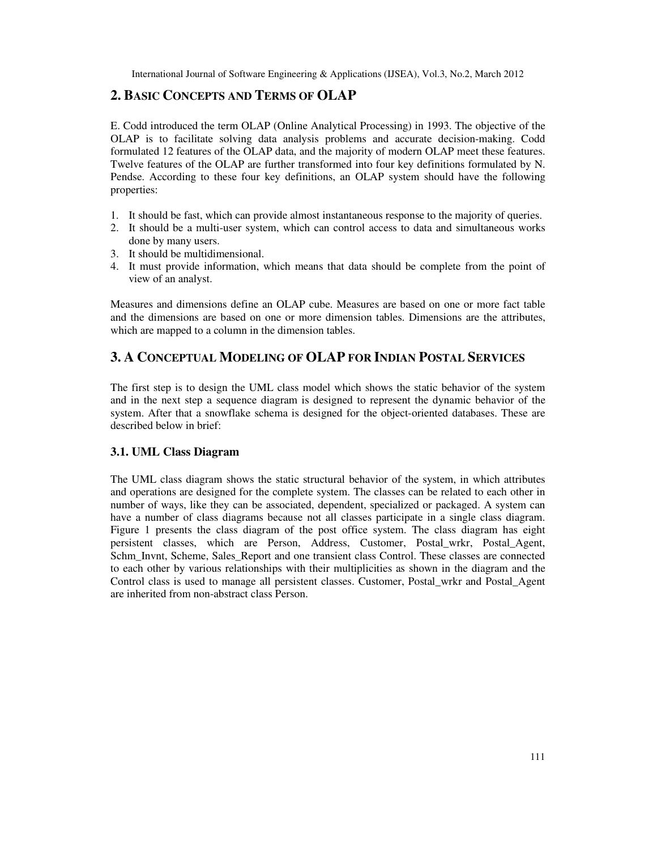## **2. BASIC CONCEPTS AND TERMS OF OLAP**

E. Codd introduced the term OLAP (Online Analytical Processing) in 1993. The objective of the OLAP is to facilitate solving data analysis problems and accurate decision-making. Codd formulated 12 features of the OLAP data, and the majority of modern OLAP meet these features. Twelve features of the OLAP are further transformed into four key definitions formulated by N. Pendse. According to these four key definitions, an OLAP system should have the following properties:

- 1. It should be fast, which can provide almost instantaneous response to the majority of queries.
- 2. It should be a multi-user system, which can control access to data and simultaneous works done by many users.
- 3. It should be multidimensional.
- 4. It must provide information, which means that data should be complete from the point of view of an analyst.

Measures and dimensions define an OLAP cube. Measures are based on one or more fact table and the dimensions are based on one or more dimension tables. Dimensions are the attributes, which are mapped to a column in the dimension tables.

# **3. A CONCEPTUAL MODELING OF OLAP FOR INDIAN POSTAL SERVICES**

The first step is to design the UML class model which shows the static behavior of the system and in the next step a sequence diagram is designed to represent the dynamic behavior of the system. After that a snowflake schema is designed for the object-oriented databases. These are described below in brief:

## **3.1. UML Class Diagram**

The UML class diagram shows the static structural behavior of the system, in which attributes and operations are designed for the complete system. The classes can be related to each other in number of ways, like they can be associated, dependent, specialized or packaged. A system can have a number of class diagrams because not all classes participate in a single class diagram. Figure 1 presents the class diagram of the post office system. The class diagram has eight persistent classes, which are Person, Address, Customer, Postal\_wrkr, Postal\_Agent, Schm\_Invnt, Scheme, Sales\_Report and one transient class Control. These classes are connected to each other by various relationships with their multiplicities as shown in the diagram and the Control class is used to manage all persistent classes. Customer, Postal\_wrkr and Postal\_Agent are inherited from non-abstract class Person.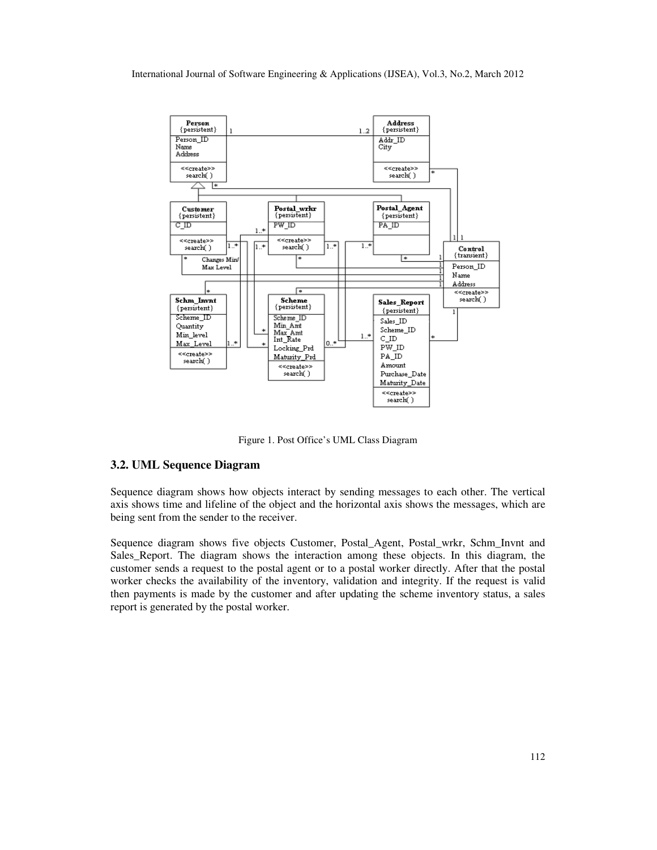

Figure 1. Post Office's UML Class Diagram

## **3.2. UML Sequence Diagram**

Sequence diagram shows how objects interact by sending messages to each other. The vertical axis shows time and lifeline of the object and the horizontal axis shows the messages, which are being sent from the sender to the receiver.

Sequence diagram shows five objects Customer, Postal\_Agent, Postal\_wrkr, Schm\_Invnt and Sales\_Report. The diagram shows the interaction among these objects. In this diagram, the customer sends a request to the postal agent or to a postal worker directly. After that the postal worker checks the availability of the inventory, validation and integrity. If the request is valid then payments is made by the customer and after updating the scheme inventory status, a sales report is generated by the postal worker.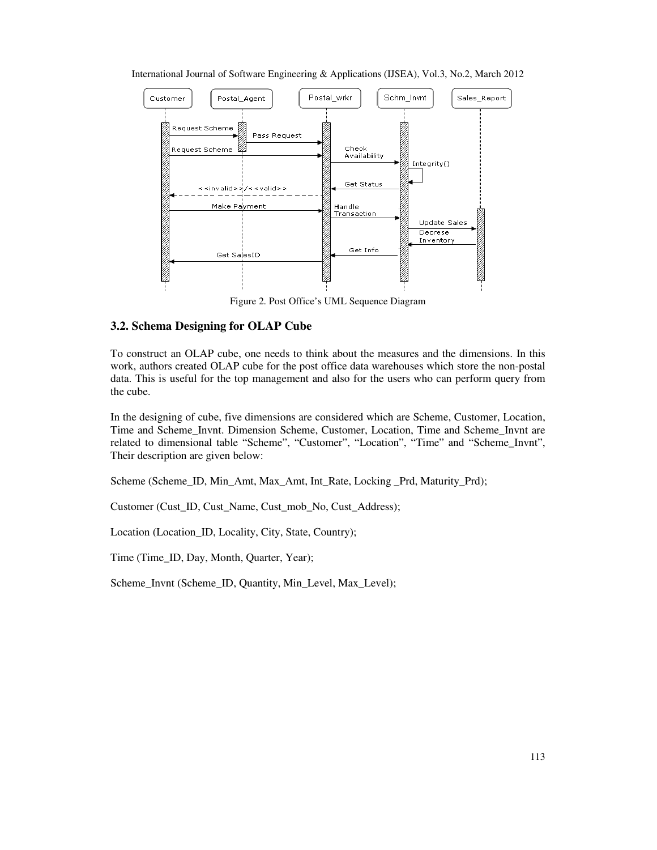

International Journal of Software Engineering & Applications (IJSEA), Vol.3, No.2, March 2012

Figure 2. Post Office's UML Sequence Diagram

## **3.2. Schema Designing for OLAP Cube**

To construct an OLAP cube, one needs to think about the measures and the dimensions. In this work, authors created OLAP cube for the post office data warehouses which store the non-postal data. This is useful for the top management and also for the users who can perform query from the cube.

In the designing of cube, five dimensions are considered which are Scheme, Customer, Location, Time and Scheme\_Invnt. Dimension Scheme, Customer, Location, Time and Scheme\_Invnt are related to dimensional table "Scheme", "Customer", "Location", "Time" and "Scheme\_Invnt", Their description are given below:

Scheme (Scheme\_ID, Min\_Amt, Max\_Amt, Int\_Rate, Locking \_Prd, Maturity\_Prd);

Customer (Cust\_ID, Cust\_Name, Cust\_mob\_No, Cust\_Address);

Location (Location\_ID, Locality, City, State, Country);

Time (Time\_ID, Day, Month, Quarter, Year);

Scheme\_Invnt (Scheme\_ID, Quantity, Min\_Level, Max\_Level);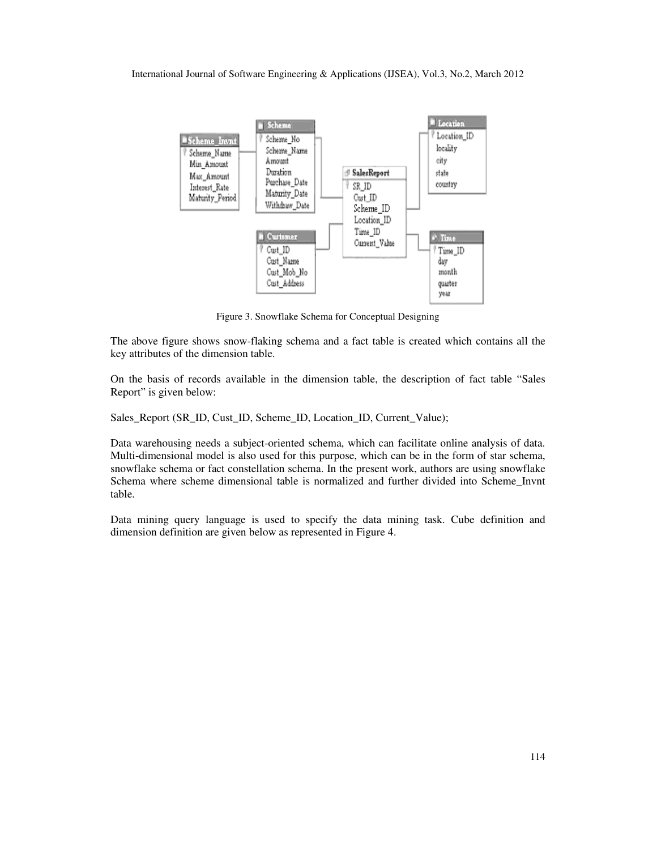

Figure 3. Snowflake Schema for Conceptual Designing

The above figure shows snow-flaking schema and a fact table is created which contains all the key attributes of the dimension table.

On the basis of records available in the dimension table, the description of fact table "Sales Report" is given below:

Sales\_Report (SR\_ID, Cust\_ID, Scheme\_ID, Location\_ID, Current\_Value);

Data warehousing needs a subject-oriented schema, which can facilitate online analysis of data. Multi-dimensional model is also used for this purpose, which can be in the form of star schema, snowflake schema or fact constellation schema. In the present work, authors are using snowflake Schema where scheme dimensional table is normalized and further divided into Scheme\_Invnt table.

Data mining query language is used to specify the data mining task. Cube definition and dimension definition are given below as represented in Figure 4.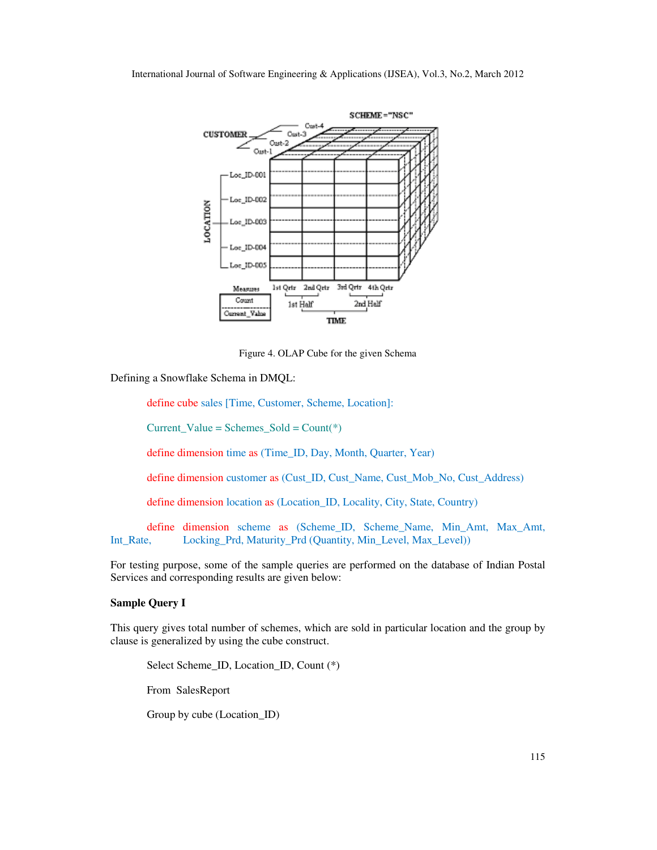

Figure 4. OLAP Cube for the given Schema

Defining a Snowflake Schema in DMQL:

define cube sales [Time, Customer, Scheme, Location]:

Current Value = Schemes  $Sold = Count(*)$ 

define dimension time as (Time\_ID, Day, Month, Quarter, Year)

define dimension customer as (Cust\_ID, Cust\_Name, Cust\_Mob\_No, Cust\_Address)

define dimension location as (Location\_ID, Locality, City, State, Country)

 define dimension scheme as (Scheme\_ID, Scheme\_Name, Min\_Amt, Max\_Amt, Int\_Rate, Locking\_Prd, Maturity\_Prd (Quantity, Min\_Level, Max\_Level))

For testing purpose, some of the sample queries are performed on the database of Indian Postal Services and corresponding results are given below:

### **Sample Query I**

This query gives total number of schemes, which are sold in particular location and the group by clause is generalized by using the cube construct.

 Select Scheme\_ID, Location\_ID, Count (\*) From SalesReport Group by cube (Location\_ID)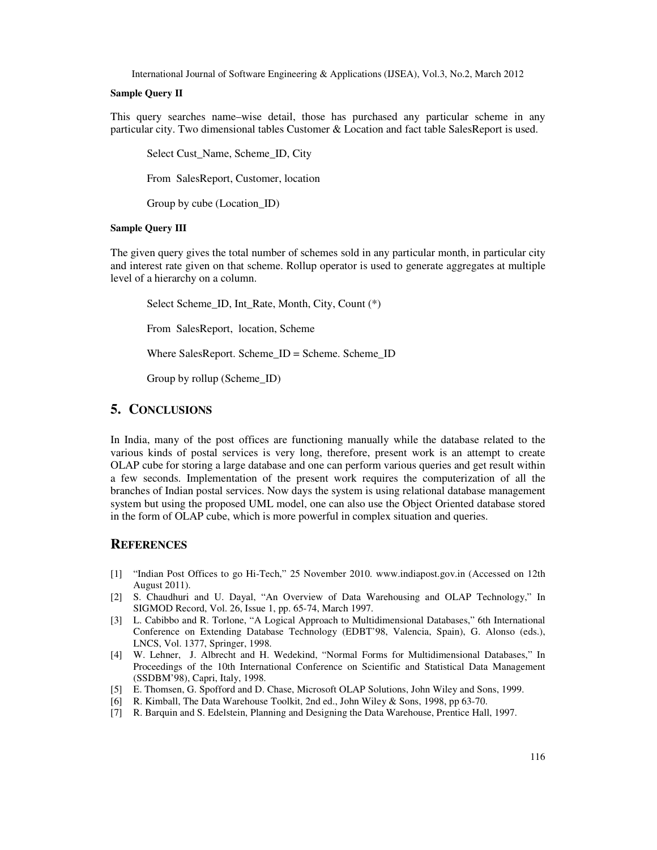#### **Sample Query II**

This query searches name–wise detail, those has purchased any particular scheme in any particular city. Two dimensional tables Customer & Location and fact table SalesReport is used.

 Select Cust\_Name, Scheme\_ID, City From SalesReport, Customer, location Group by cube (Location\_ID)

#### **Sample Query III**

The given query gives the total number of schemes sold in any particular month, in particular city and interest rate given on that scheme. Rollup operator is used to generate aggregates at multiple level of a hierarchy on a column.

 Select Scheme\_ID, Int\_Rate, Month, City, Count (\*) From SalesReport, location, Scheme Where SalesReport. Scheme\_ID = Scheme. Scheme\_ID Group by rollup (Scheme\_ID)

## **5. CONCLUSIONS**

In India, many of the post offices are functioning manually while the database related to the various kinds of postal services is very long, therefore, present work is an attempt to create OLAP cube for storing a large database and one can perform various queries and get result within a few seconds. Implementation of the present work requires the computerization of all the branches of Indian postal services. Now days the system is using relational database management system but using the proposed UML model, one can also use the Object Oriented database stored in the form of OLAP cube, which is more powerful in complex situation and queries.

## **REFERENCES**

- [1] "Indian Post Offices to go Hi-Tech," 25 November 2010. www.indiapost.gov.in (Accessed on 12th August 2011).
- [2] S. Chaudhuri and U. Dayal, "An Overview of Data Warehousing and OLAP Technology," In SIGMOD Record, Vol. 26, Issue 1, pp. 65-74, March 1997.
- [3] L. Cabibbo and R. Torlone, "A Logical Approach to Multidimensional Databases," 6th International Conference on Extending Database Technology (EDBT'98, Valencia, Spain), G. Alonso (eds.), LNCS, Vol. 1377, Springer, 1998.
- [4] W. Lehner, J. Albrecht and H. Wedekind, "Normal Forms for Multidimensional Databases," In Proceedings of the 10th International Conference on Scientific and Statistical Data Management (SSDBM'98), Capri, Italy, 1998.
- [5] E. Thomsen, G. Spofford and D. Chase, Microsoft OLAP Solutions, John Wiley and Sons, 1999.
- [6] R. Kimball, The Data Warehouse Toolkit, 2nd ed., John Wiley & Sons, 1998, pp 63-70.
- [7] R. Barquin and S. Edelstein, Planning and Designing the Data Warehouse, Prentice Hall, 1997.